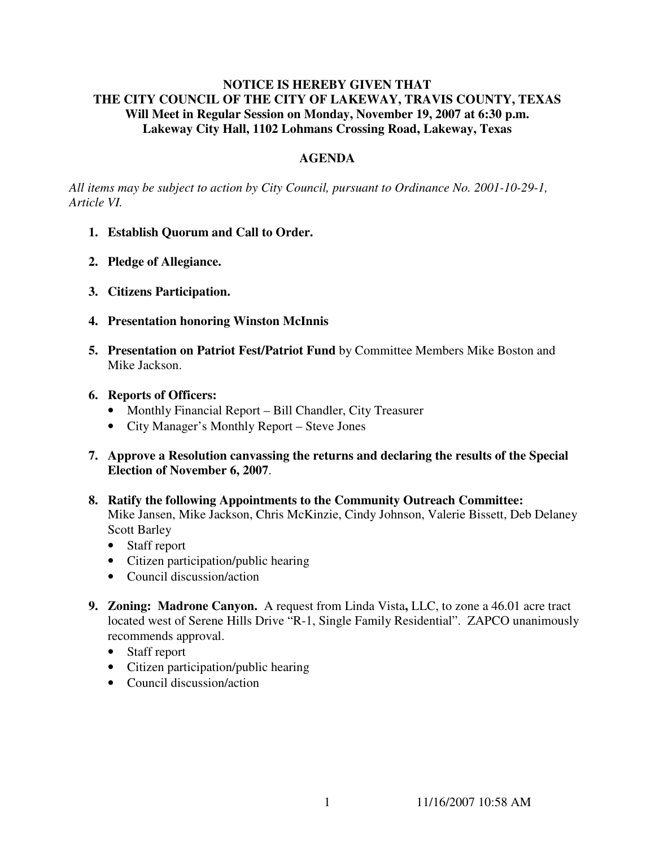## **NOTICE IS HEREBY GIVEN THAT THE CITY COUNCIL OF THE CITY OF LAKEWAY, TRAVIS COUNTY, TEXAS Will Meet in Regular Session on Monday, November 19, 2007 at 6:30 p.m. Lakeway City Hall, 1102 Lohmans Crossing Road, Lakeway, Texas**

# **AGENDA**

*All items may be subject to action by City Council, pursuant to Ordinance No. 2001-10-29-1, Article VI.* 

- **1. Establish Quorum and Call to Order.**
- **2. Pledge of Allegiance.**
- **3. Citizens Participation.**
- **4. Presentation honoring Winston McInnis**
- **5. Presentation on Patriot Fest/Patriot Fund** by Committee Members Mike Boston and Mike Jackson.
- **6. Reports of Officers:**
	- Monthly Financial Report Bill Chandler, City Treasurer
	- City Manager's Monthly Report Steve Jones
- **7. Approve a Resolution canvassing the returns and declaring the results of the Special Election of November 6, 2007**.
- **8. Ratify the following Appointments to the Community Outreach Committee:**  Mike Jansen, Mike Jackson, Chris McKinzie, Cindy Johnson, Valerie Bissett, Deb Delaney Scott Barley
	- Staff report
	- Citizen participation/public hearing
	- Council discussion/action
- **9. Zoning: Madrone Canyon.** A request from Linda Vista**,** LLC, to zone a 46.01 acre tract located west of Serene Hills Drive "R-1, Single Family Residential". ZAPCO unanimously recommends approval.
	- Staff report
	- Citizen participation/public hearing
	- Council discussion/action